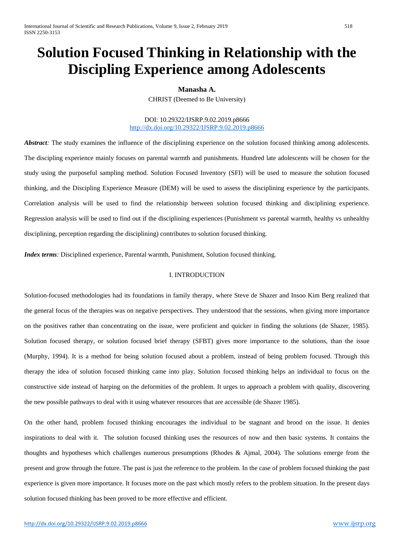# **Solution Focused Thinking in Relationship with the Discipling Experience among Adolescents**

## **Manasha A.**

CHRIST (Deemed to Be University)

## DOI: 10.29322/IJSRP.9.02.2019.p8666 <http://dx.doi.org/10.29322/IJSRP.9.02.2019.p8666>

*Abstract*: The study examines the influence of the disciplining experience on the solution focused thinking among adolescents. The discipling experience mainly focuses on parental warmth and punishments. Hundred late adolescents will be chosen for the study using the purposeful sampling method. Solution Focused Inventory (SFI) will be used to measure the solution focused thinking, and the Discipling Experience Measure (DEM) will be used to assess the disciplining experience by the participants. Correlation analysis will be used to find the relationship between solution focused thinking and disciplining experience. Regression analysis will be used to find out if the disciplining experiences (Punishment vs parental warmth, healthy vs unhealthy disciplining, perception regarding the disciplining) contributes to solution focused thinking.

*Index terms:* Disciplined experience, Parental warmth, Punishment, Solution focused thinking.

## I. INTRODUCTION

Solution-focused methodologies had its foundations in family therapy, where Steve de Shazer and Insoo Kim Berg realized that the general focus of the therapies was on negative perspectives. They understood that the sessions, when giving more importance on the positives rather than concentrating on the issue, were proficient and quicker in finding the solutions (de Shazer, 1985). Solution focused therapy, or solution focused brief therapy (SFBT) gives more importance to the solutions, than the issue (Murphy, 1994). It is a method for being solution focused about a problem, instead of being problem focused. Through this therapy the idea of solution focused thinking came into play. Solution focused thinking helps an individual to focus on the constructive side instead of harping on the deformities of the problem. It urges to approach a problem with quality, discovering the new possible pathways to deal with it using whatever resources that are accessible (de Shazer 1985).

On the other hand, problem focused thinking encourages the individual to be stagnant and brood on the issue. It denies inspirations to deal with it. The solution focused thinking uses the resources of now and then basic systems. It contains the thoughts and hypotheses which challenges numerous presumptions (Rhodes & Ajmal, 2004). The solutions emerge from the present and grow through the future. The past is just the reference to the problem. In the case of problem focused thinking the past experience is given more importance. It focuses more on the past which mostly refers to the problem situation. In the present days solution focused thinking has been proved to be more effective and efficient.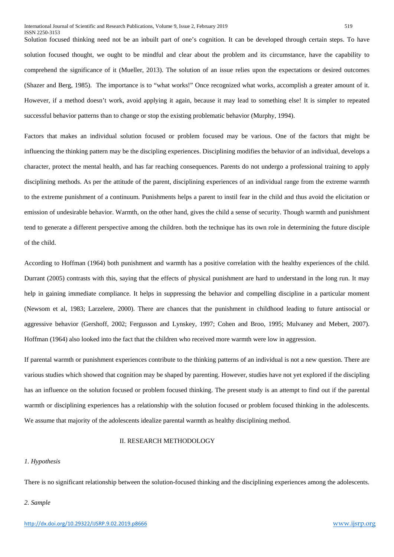Solution focused thinking need not be an inbuilt part of one's cognition. It can be developed through certain steps. To have solution focused thought, we ought to be mindful and clear about the problem and its circumstance, have the capability to comprehend the significance of it (Mueller, 2013). The solution of an issue relies upon the expectations or desired outcomes (Shazer and Berg, 1985). The importance is to "what works!" Once recognized what works, accomplish a greater amount of it. However, if a method doesn't work, avoid applying it again, because it may lead to something else! It is simpler to repeated successful behavior patterns than to change or stop the existing problematic behavior (Murphy, 1994).

Factors that makes an individual solution focused or problem focused may be various. One of the factors that might be influencing the thinking pattern may be the discipling experiences. Disciplining modifies the behavior of an individual, develops a character, protect the mental health, and has far reaching consequences. Parents do not undergo a professional training to apply disciplining methods. As per the attitude of the parent, disciplining experiences of an individual range from the extreme warmth to the extreme punishment of a continuum. Punishments helps a parent to instil fear in the child and thus avoid the elicitation or emission of undesirable behavior. Warmth, on the other hand, gives the child a sense of security. Though warmth and punishment tend to generate a different perspective among the children. both the technique has its own role in determining the future disciple of the child.

According to Hoffman (1964) both punishment and warmth has a positive correlation with the healthy experiences of the child. Durrant (2005) contrasts with this, saying that the effects of physical punishment are hard to understand in the long run. It may help in gaining immediate compliance. It helps in suppressing the behavior and compelling discipline in a particular moment (Newsom et al, 1983; Larzelere, 2000). There are chances that the punishment in childhood leading to future antisocial or aggressive behavior (Gershoff, 2002; Fergusson and Lynskey, 1997; Cohen and Broo, 1995; Mulvaney and Mebert, 2007). Hoffman (1964) also looked into the fact that the children who received more warmth were low in aggression.

If parental warmth or punishment experiences contribute to the thinking patterns of an individual is not a new question. There are various studies which showed that cognition may be shaped by parenting. However, studies have not yet explored if the discipling has an influence on the solution focused or problem focused thinking. The present study is an attempt to find out if the parental warmth or disciplining experiences has a relationship with the solution focused or problem focused thinking in the adolescents. We assume that majority of the adolescents idealize parental warmth as healthy disciplining method.

### II. RESEARCH METHODOLOGY

## *1. Hypothesis*

There is no significant relationship between the solution-focused thinking and the disciplining experiences among the adolescents.

#### *2. Sample*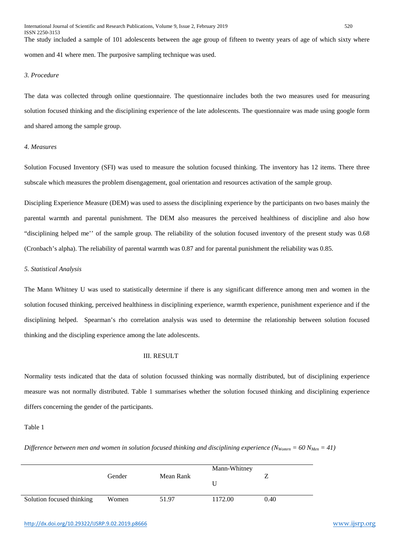The study included a sample of 101 adolescents between the age group of fifteen to twenty years of age of which sixty where women and 41 where men. The purposive sampling technique was used.

## *3. Procedure*

The data was collected through online questionnaire. The questionnaire includes both the two measures used for measuring solution focused thinking and the disciplining experience of the late adolescents. The questionnaire was made using google form and shared among the sample group.

## *4. Measures*

Solution Focused Inventory (SFI) was used to measure the solution focused thinking. The inventory has 12 items. There three subscale which measures the problem disengagement, goal orientation and resources activation of the sample group.

Discipling Experience Measure (DEM) was used to assess the disciplining experience by the participants on two bases mainly the parental warmth and parental punishment. The DEM also measures the perceived healthiness of discipline and also how "disciplining helped me'' of the sample group. The reliability of the solution focused inventory of the present study was 0.68 (Cronbach's alpha). The reliability of parental warmth was 0.87 and for parental punishment the reliability was 0.85.

## *5. Statistical Analysis*

The Mann Whitney U was used to statistically determine if there is any significant difference among men and women in the solution focused thinking, perceived healthiness in disciplining experience, warmth experience, punishment experience and if the disciplining helped. Spearman's rho correlation analysis was used to determine the relationship between solution focused thinking and the discipling experience among the late adolescents.

## III. RESULT

Normality tests indicated that the data of solution focussed thinking was normally distributed, but of disciplining experience measure was not normally distributed. Table 1 summarises whether the solution focused thinking and disciplining experience differs concerning the gender of the participants.

## Table 1

*Difference between men and women in solution focused thinking and disciplining experience (N<sub>Womrn</sub> = 60 N<sub>Men</sub> = 41)* 

|                           |        |           | Mann-Whitney |      |
|---------------------------|--------|-----------|--------------|------|
|                           | Gender | Mean Rank |              |      |
| Solution focused thinking | Women  | 51.97     | 1172.00      | 0.40 |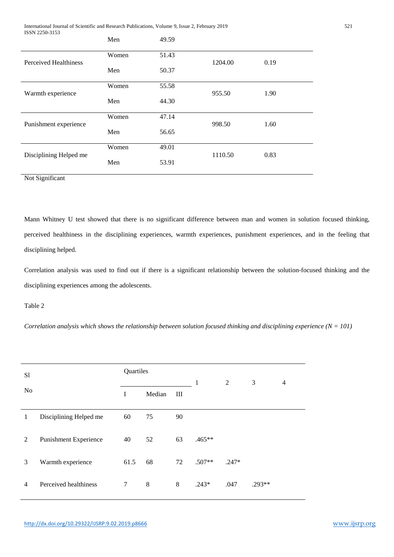International Journal of Scientific and Research Publications, Volume 9, Issue 2, February 2019 521 ISSN 2250-3153

|                        | Men   | 49.59 |         |      |  |
|------------------------|-------|-------|---------|------|--|
| Perceived Healthiness  | Women | 51.43 | 1204.00 | 0.19 |  |
|                        | Men   | 50.37 |         |      |  |
| Warmth experience      | Women | 55.58 | 955.50  | 1.90 |  |
|                        | Men   | 44.30 |         |      |  |
| Punishment experience  | Women | 47.14 | 998.50  | 1.60 |  |
|                        | Men   | 56.65 |         |      |  |
| Disciplining Helped me | Women | 49.01 | 1110.50 | 0.83 |  |
|                        | Men   | 53.91 |         |      |  |

Not Significant

Mann Whitney U test showed that there is no significant difference between man and women in solution focused thinking, perceived healthiness in the disciplining experiences, warmth experiences, punishment experiences, and in the feeling that disciplining helped.

Correlation analysis was used to find out if there is a significant relationship between the solution-focused thinking and the disciplining experiences among the adolescents.

Table 2

*Correlation analysis which shows the relationship between solution focused thinking and disciplining experience*  $(N = 101)$ 

| S1             |                              | Quartiles |        |    | 1        | 2       | 3      | $\overline{4}$ |
|----------------|------------------------------|-----------|--------|----|----------|---------|--------|----------------|
| N <sub>0</sub> |                              | I         | Median | Ш  |          |         |        |                |
| 1              | Disciplining Helped me       | 60        | 75     | 90 |          |         |        |                |
| 2              | <b>Punishment Experience</b> | 40        | 52     | 63 | .465**   |         |        |                |
| 3              | Warmth experience            | 61.5      | 68     | 72 | $.507**$ | $.247*$ |        |                |
| 4              | Perceived healthiness        | 7         | 8      | 8  | $.243*$  | .047    | .293** |                |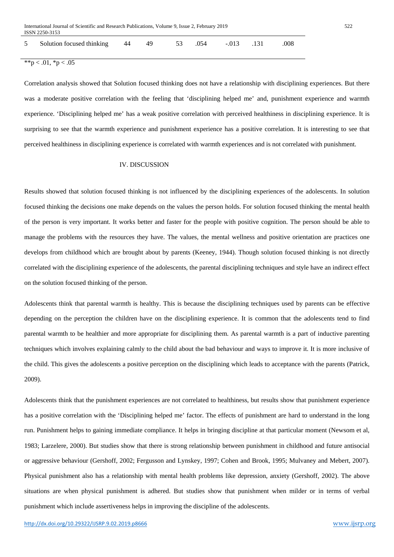| 5 Solution focused thinking 44 49 53 .054 -.013 .131 .008 |  |  |  |  |  |  |  |  |  |
|-----------------------------------------------------------|--|--|--|--|--|--|--|--|--|
|-----------------------------------------------------------|--|--|--|--|--|--|--|--|--|

 $**p < .01, *p < .05$ 

Correlation analysis showed that Solution focused thinking does not have a relationship with disciplining experiences. But there was a moderate positive correlation with the feeling that 'disciplining helped me' and, punishment experience and warmth experience. 'Disciplining helped me' has a weak positive correlation with perceived healthiness in disciplining experience. It is surprising to see that the warmth experience and punishment experience has a positive correlation. It is interesting to see that perceived healthiness in disciplining experience is correlated with warmth experiences and is not correlated with punishment.

# IV. DISCUSSION

Results showed that solution focused thinking is not influenced by the disciplining experiences of the adolescents. In solution focused thinking the decisions one make depends on the values the person holds. For solution focused thinking the mental health of the person is very important. It works better and faster for the people with positive cognition. The person should be able to manage the problems with the resources they have. The values, the mental wellness and positive orientation are practices one develops from childhood which are brought about by parents (Keeney, 1944). Though solution focused thinking is not directly correlated with the disciplining experience of the adolescents, the parental disciplining techniques and style have an indirect effect on the solution focused thinking of the person.

Adolescents think that parental warmth is healthy. This is because the disciplining techniques used by parents can be effective depending on the perception the children have on the disciplining experience. It is common that the adolescents tend to find parental warmth to be healthier and more appropriate for disciplining them. As parental warmth is a part of inductive parenting techniques which involves explaining calmly to the child about the bad behaviour and ways to improve it. It is more inclusive of the child. This gives the adolescents a positive perception on the disciplining which leads to acceptance with the parents (Patrick, 2009).

Adolescents think that the punishment experiences are not correlated to healthiness, but results show that punishment experience has a positive correlation with the 'Disciplining helped me' factor. The effects of punishment are hard to understand in the long run. Punishment helps to gaining immediate compliance. It helps in bringing discipline at that particular moment (Newsom et al, 1983; Larzelere, 2000). But studies show that there is strong relationship between punishment in childhood and future antisocial or aggressive behaviour (Gershoff, 2002; Fergusson and Lynskey, 1997; Cohen and Brook, 1995; Mulvaney and Mebert, 2007). Physical punishment also has a relationship with mental health problems like depression, anxiety (Gershoff, 2002). The above situations are when physical punishment is adhered. But studies show that punishment when milder or in terms of verbal punishment which include assertiveness helps in improving the discipline of the adolescents.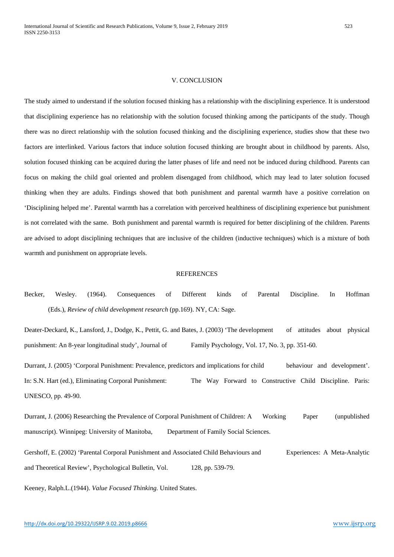#### V. CONCLUSION

The study aimed to understand if the solution focused thinking has a relationship with the disciplining experience. It is understood that disciplining experience has no relationship with the solution focused thinking among the participants of the study. Though there was no direct relationship with the solution focused thinking and the disciplining experience, studies show that these two factors are interlinked. Various factors that induce solution focused thinking are brought about in childhood by parents. Also, solution focused thinking can be acquired during the latter phases of life and need not be induced during childhood. Parents can focus on making the child goal oriented and problem disengaged from childhood, which may lead to later solution focused thinking when they are adults. Findings showed that both punishment and parental warmth have a positive correlation on 'Disciplining helped me'. Parental warmth has a correlation with perceived healthiness of disciplining experience but punishment is not correlated with the same. Both punishment and parental warmth is required for better disciplining of the children. Parents are advised to adopt disciplining techniques that are inclusive of the children (inductive techniques) which is a mixture of both warmth and punishment on appropriate levels.

## **REFERENCES**

Becker, Wesley. (1964). Consequences of Different kinds of Parental Discipline. In Hoffman (Eds.), *Review of child development research* (pp.169). NY, CA: Sage.

Deater-Deckard, K., Lansford, J., Dodge, K., Pettit, G. and Bates, J. (2003) 'The development of attitudes about physical punishment: An 8-year longitudinal study', Journal of Family Psychology, Vol. 17, No. 3, pp. 351-60.

Durrant, J. (2005) 'Corporal Punishment: Prevalence, predictors and implications for child behaviour and development'. In: S.N. Hart (ed.), Eliminating Corporal Punishment: The Way Forward to Constructive Child Discipline. Paris: UNESCO, pp. 49-90.

Durrant, J. (2006) Researching the Prevalence of Corporal Punishment of Children: A Working Paper (unpublished manuscript). Winnipeg: University of Manitoba, Department of Family Social Sciences.

Gershoff, E. (2002) 'Parental Corporal Punishment and Associated Child Behaviours and Experiences: A Meta-Analytic and Theoretical Review', Psychological Bulletin, Vol. 128, pp. 539-79.

Keeney, Ralph.L.(1944). *Value Focused Thinking.* United States.